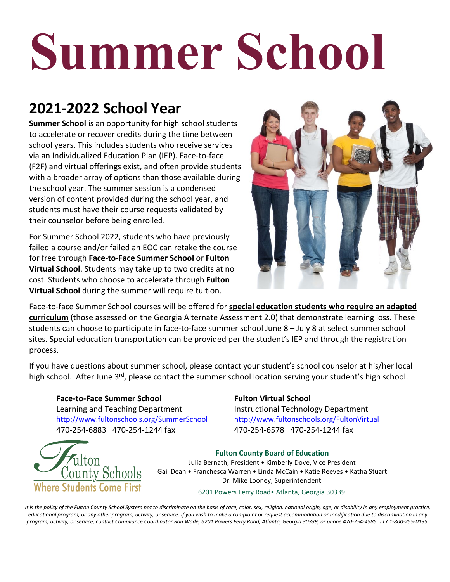# **Summer School**

# **2021-2022 School Year**

**Summer School** is an opportunity for high school students to accelerate or recover credits during the time between school years. This includes students who receive services via an Individualized Education Plan (IEP). Face-to-face (F2F) and virtual offerings exist, and often provide students with a broader array of options than those available during the school year. The summer session is a condensed version of content provided during the school year, and students must have their course requests validated by their counselor before being enrolled.

For Summer School 2022, students who have previously failed a course and/or failed an EOC can retake the course for free through **Face-to-Face Summer School** or **Fulton Virtual School**. Students may take up to two credits at no cost. Students who choose to accelerate through **Fulton Virtual School** during the summer will require tuition.



Face-to-face Summer School courses will be offered for **special education students who require an adapted curriculum** (those assessed on the Georgia Alternate Assessment 2.0) that demonstrate learning loss. These students can choose to participate in face-to-face summer school June 8 – July 8 at select summer school sites. Special education transportation can be provided per the student's IEP and through the registration process.

If you have questions about summer school, please contact your student's school counselor at his/her local high school. After June 3<sup>rd</sup>, please contact the summer school location serving your student's high school.

**Face-to-Face Summer School** Learning and Teaching Department <http://www.fultonschools.org/SummerSchool> 470-254-6883 470-254-1244 fax

#### **Fulton Virtual School**

Instructional Technology Department <http://www.fultonschools.org/FultonVirtual> 470-254-6578 470-254-1244 fax



**Fulton County Board of Education**  Julia Bernath, President • Kimberly Dove, Vice President Gail Dean • Franchesca Warren • Linda McCain • Katie Reeves • Katha Stuart Dr. Mike Looney, Superintendent

6201 Powers Ferry Road• Atlanta, Georgia 30339

*It is the policy of the Fulton County School System not to discriminate on the basis of race, color, sex, religion, national origin, age, or disability in any employment practice, educational program, or any other program, activity, or service. If you wish to make a complaint or request accommodation or modification due to discrimination in any program, activity, or service, contact Compliance Coordinator Ron Wade, 6201 Powers Ferry Road, Atlanta, Georgia 30339, or phone 470-254-4585. TTY 1-800-255-0135.*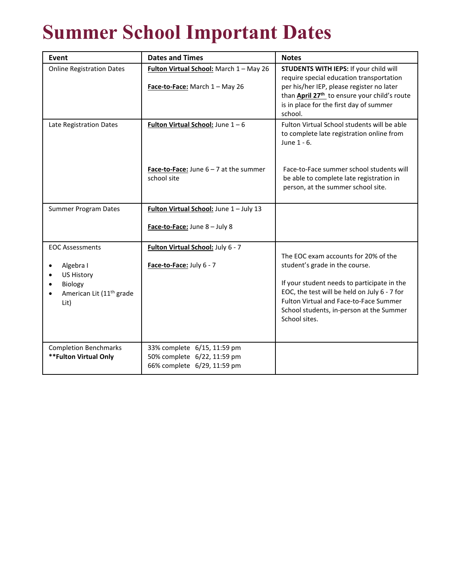# **Summer School Important Dates**

| <b>Event</b>                                                                 | <b>Dates and Times</b>                                                                    | <b>Notes</b>                                                                                                                                                                                       |
|------------------------------------------------------------------------------|-------------------------------------------------------------------------------------------|----------------------------------------------------------------------------------------------------------------------------------------------------------------------------------------------------|
| <b>Online Registration Dates</b>                                             | Fulton Virtual School: March 1 - May 26<br>Face-to-Face: March 1 - May 26                 | STUDENTS WITH IEPS: If your child will<br>require special education transportation<br>per his/her IEP, please register no later                                                                    |
|                                                                              |                                                                                           | than April 27 <sup>th</sup> to ensure your child's route<br>is in place for the first day of summer<br>school.                                                                                     |
| Late Registration Dates                                                      | <b>Fulton Virtual School:</b> June $1 - 6$                                                | Fulton Virtual School students will be able<br>to complete late registration online from<br>June 1 - 6.                                                                                            |
|                                                                              | <b>Face-to-Face:</b> June $6 - 7$ at the summer<br>school site                            | Face-to-Face summer school students will<br>be able to complete late registration in<br>person, at the summer school site.                                                                         |
| <b>Summer Program Dates</b>                                                  | Fulton Virtual School: June 1 - July 13                                                   |                                                                                                                                                                                                    |
|                                                                              | Face-to-Face: June 8 - July 8                                                             |                                                                                                                                                                                                    |
| <b>EOC Assessments</b>                                                       | Fulton Virtual School: July 6 - 7                                                         | The EOC exam accounts for 20% of the                                                                                                                                                               |
| Algebra I                                                                    | Face-to-Face: July 6 - 7                                                                  | student's grade in the course.                                                                                                                                                                     |
| <b>US History</b><br>Biology<br>American Lit (11 <sup>th</sup> grade<br>Lit) |                                                                                           | If your student needs to participate in the<br>EOC, the test will be held on July 6 - 7 for<br>Fulton Virtual and Face-to-Face Summer<br>School students, in-person at the Summer<br>School sites. |
| <b>Completion Benchmarks</b><br>**Fulton Virtual Only                        | 33% complete 6/15, 11:59 pm<br>50% complete 6/22, 11:59 pm<br>66% complete 6/29, 11:59 pm |                                                                                                                                                                                                    |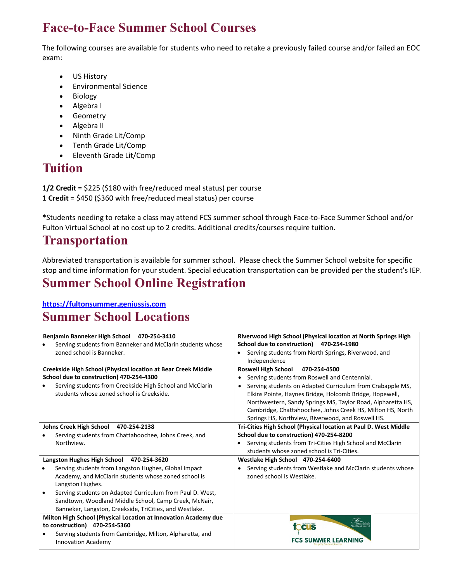## **Face-to-Face Summer School Courses**

The following courses are available for students who need to retake a previously failed course and/or failed an EOC exam:

- US History
- Environmental Science
- Biology
- Algebra I
- **Geometry**
- Algebra II
- Ninth Grade Lit/Comp
- Tenth Grade Lit/Comp
- Eleventh Grade Lit/Comp

# **Tuition**

**1/2 Credit** = \$225 (\$180 with free/reduced meal status) per course **1 Credit** = \$450 (\$360 with free/reduced meal status) per course

**\***Students needing to retake a class may attend FCS summer school through Face-to-Face Summer School and/or Fulton Virtual School at no cost up to 2 credits. Additional credits/courses require tuition.

#### **Transportation**

Abbreviated transportation is available for summer school. Please check the Summer School website for specific stop and time information for your student. Special education transportation can be provided per the student's IEP.

## **Summer School Online Registration**

**[https://fultonsummer.geniussis.com](https://fultonsummer.geniussis.com/)**

## **Summer School Locations**

| Benjamin Banneker High School 470-254-3410                      | Riverwood High School (Physical location at North Springs High         |  |
|-----------------------------------------------------------------|------------------------------------------------------------------------|--|
| Serving students from Banneker and McClarin students whose      | School due to construction) 470-254-1980                               |  |
| zoned school is Banneker.                                       | Serving students from North Springs, Riverwood, and<br>$\bullet$       |  |
|                                                                 | Independence                                                           |  |
| Creekside High School (Physical location at Bear Creek Middle   | <b>Roswell High School</b><br>470-254-4500                             |  |
| School due to construction) 470-254-4300                        | Serving students from Roswell and Centennial.                          |  |
| Serving students from Creekside High School and McClarin        | Serving students on Adapted Curriculum from Crabapple MS,<br>$\bullet$ |  |
| students whose zoned school is Creekside.                       | Elkins Pointe, Haynes Bridge, Holcomb Bridge, Hopewell,                |  |
|                                                                 | Northwestern, Sandy Springs MS, Taylor Road, Alpharetta HS,            |  |
|                                                                 | Cambridge, Chattahoochee, Johns Creek HS, Milton HS, North             |  |
|                                                                 | Springs HS, Northview, Riverwood, and Roswell HS.                      |  |
| Johns Creek High School 470-254-2138                            | Tri-Cities High School (Physical location at Paul D. West Middle       |  |
| Serving students from Chattahoochee, Johns Creek, and           | School due to construction) 470-254-8200                               |  |
| Northview.                                                      | Serving students from Tri-Cities High School and McClarin<br>$\bullet$ |  |
|                                                                 | students whose zoned school is Tri-Cities.                             |  |
| Langston Hughes High School 470-254-3620                        | Westlake High School 470-254-6400                                      |  |
| Serving students from Langston Hughes, Global Impact            | Serving students from Westlake and McClarin students whose             |  |
| Academy, and McClarin students whose zoned school is            | zoned school is Westlake.                                              |  |
| Langston Hughes.                                                |                                                                        |  |
| Serving students on Adapted Curriculum from Paul D. West,       |                                                                        |  |
| Sandtown, Woodland Middle School, Camp Creek, McNair,           |                                                                        |  |
| Banneker, Langston, Creekside, TriCities, and Westlake.         |                                                                        |  |
| Milton High School (Physical Location at Innovation Academy due |                                                                        |  |
| to construction) 470-254-5360                                   | <b>CUS</b>                                                             |  |
| Serving students from Cambridge, Milton, Alpharetta, and        |                                                                        |  |
| <b>Innovation Academy</b>                                       | <b>FCS SUMMER LEARNING</b>                                             |  |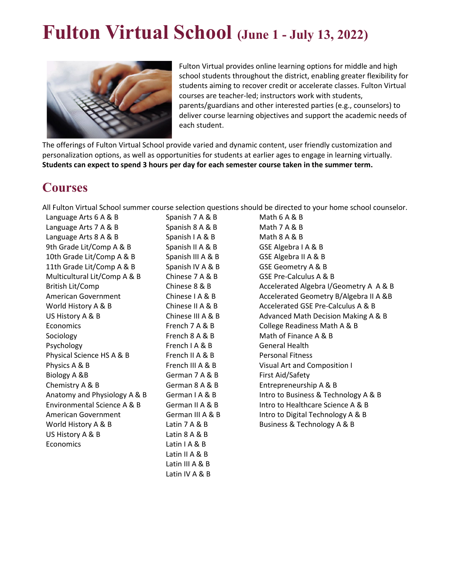# **Fulton Virtual School (June 1 - July 13, 2022)**



Fulton Virtual provides online learning options for middle and high school students throughout the district, enabling greater flexibility for students aiming to recover credit or accelerate classes. Fulton Virtual courses are teacher-led; instructors work with students, parents/guardians and other interested parties (e.g., counselors) to deliver course learning objectives and support the academic needs of each student.

The offerings of Fulton Virtual School provide varied and dynamic content, user friendly customization and personalization options, as well as opportunities for students at earlier ages to engage in learning virtually. **Students can expect to spend 3 hours per day for each semester course taken in the summer term.**

#### **Courses**

All Fulton Virtual School summer course selection questions should be directed to your home school counselor.

Language Arts 6 A & B Spanish 7 A & B Math 6 A & B Language Arts 7 A & B Spanish 8 A & B Math 7 A & B Language Arts 8 A & B Spanish I A & B Math 8 A & B 9th Grade Lit/Comp A & B Spanish II A & B GSE Algebra I A & B 10th Grade Lit/Comp A & B Spanish III A & B GSE Algebra II A & B 11th Grade Lit/Comp A & B Spanish IV A & B GSE Geometry A & B Multicultural Lit/Comp A & B Chinese 7 A & B GSE Pre-Calculus A & B Economics French 7 A & B College Readiness Math A & B Sociology **French 8 A & B** Math of Finance A & B Psychology **French I A & B** General Health Physical Science HS A & B French II A & B Personal Fitness Physics A & B French III A & B Visual Art and Composition I Biology A &B German 7 A & B First Aid/Safety Chemistry A & B German 8 A & B Entrepreneurship A & B World History A & B Latin 7 A & B Business & Technology A & B US History A & B Latin 8 A & B Economics Latin I A & B

Latin II A & B Latin III A & B Latin IV A & B

British Lit/Comp Chinese 8 & B Accelerated Algebra I/Geometry A A & B American Government Chinese I A & B Accelerated Geometry B/Algebra II A & B World History A & B Chinese II A & B Accelerated GSE Pre-Calculus A & B US History A & B Chinese III A & B Advanced Math Decision Making A & B Anatomy and Physiology A & B German I A & B Intro to Business & Technology A & B Environmental Science A & B German II A & B Intro to Healthcare Science A & B American Government German III A & B Intro to Digital Technology A & B